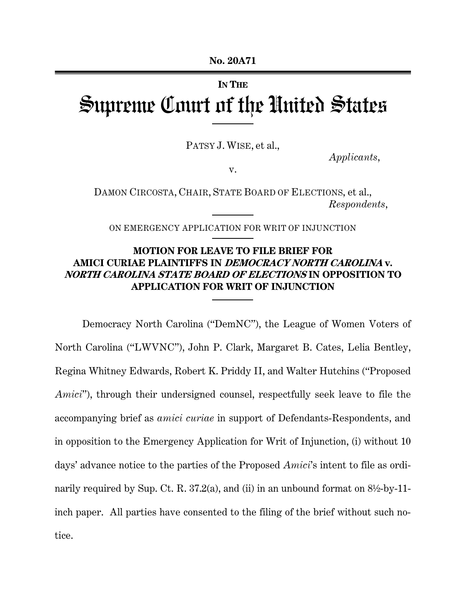#### **IN THE**

# Supreme Court of the United States

PATSY J. WISE, et al.,

*Applicants*,

v.

DAMON CIRCOSTA, CHAIR, STATE BOARD OF ELECTIONS, et al., *Respondents*,

ON EMERGENCY APPLICATION FOR WRIT OF INJUNCTION

# **MOTION FOR LEAVE TO FILE BRIEF FOR AMICI CURIAE PLAINTIFFS IN DEMOCRACY NORTH CAROLINA v. NORTH CAROLINA STATE BOARD OF ELECTIONS IN OPPOSITION TO APPLICATION FOR WRIT OF INJUNCTION**

Democracy North Carolina ("DemNC"), the League of Women Voters of North Carolina ("LWVNC"), John P. Clark, Margaret B. Cates, Lelia Bentley, Regina Whitney Edwards, Robert K. Priddy II, and Walter Hutchins ("Proposed *Amici*"), through their undersigned counsel, respectfully seek leave to file the accompanying brief as *amici curiae* in support of Defendants-Respondents, and in opposition to the Emergency Application for Writ of Injunction, (i) without 10 days' advance notice to the parties of the Proposed *Amici*'s intent to file as ordinarily required by Sup. Ct. R. 37.2(a), and (ii) in an unbound format on  $8\frac{1}{2}$ -by-11inch paper. All parties have consented to the filing of the brief without such notice.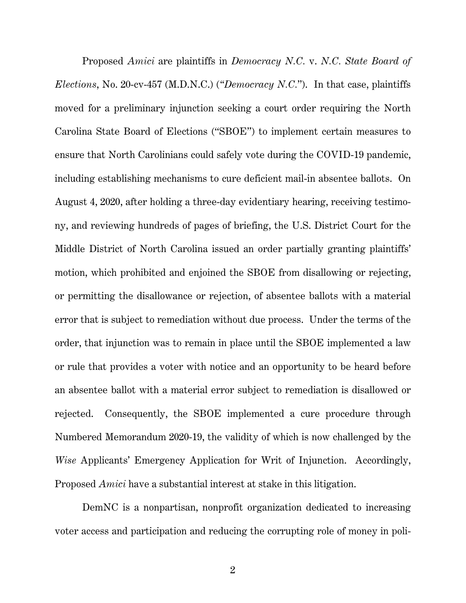Proposed *Amici* are plaintiffs in *Democracy N.C.* v. *N.C. State Board of Elections*, No. 20-cv-457 (M.D.N.C.) (*"Democracy N.C.*"). In that case, plaintiffs moved for a preliminary injunction seeking a court order requiring the North Carolina State Board of Elections ("SBOE") to implement certain measures to ensure that North Carolinians could safely vote during the COVID-19 pandemic, including establishing mechanisms to cure deficient mail-in absentee ballots. On August 4, 2020, after holding a three-day evidentiary hearing, receiving testimony, and reviewing hundreds of pages of briefing, the U.S. District Court for the Middle District of North Carolina issued an order partially granting plaintiffs' motion, which prohibited and enjoined the SBOE from disallowing or rejecting, or permitting the disallowance or rejection, of absentee ballots with a material error that is subject to remediation without due process. Under the terms of the order, that injunction was to remain in place until the SBOE implemented a law or rule that provides a voter with notice and an opportunity to be heard before an absentee ballot with a material error subject to remediation is disallowed or rejected. Consequently, the SBOE implemented a cure procedure through Numbered Memorandum 2020-19, the validity of which is now challenged by the *Wise* Applicants' Emergency Application for Writ of Injunction. Accordingly, Proposed *Amici* have a substantial interest at stake in this litigation.

DemNC is a nonpartisan, nonprofit organization dedicated to increasing voter access and participation and reducing the corrupting role of money in poli-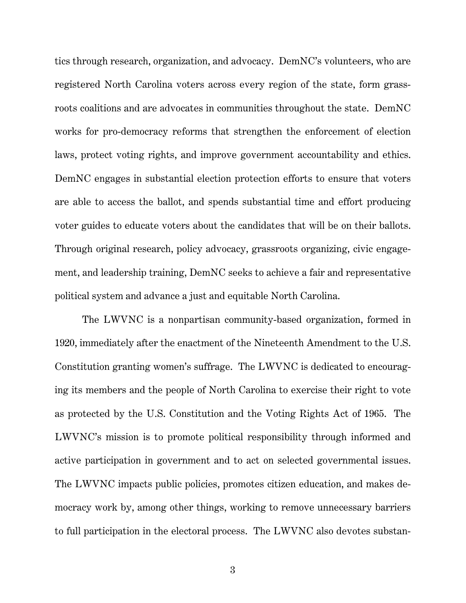tics through research, organization, and advocacy. DemNC's volunteers, who are registered North Carolina voters across every region of the state, form grassroots coalitions and are advocates in communities throughout the state. DemNC works for pro-democracy reforms that strengthen the enforcement of election laws, protect voting rights, and improve government accountability and ethics. DemNC engages in substantial election protection efforts to ensure that voters are able to access the ballot, and spends substantial time and effort producing voter guides to educate voters about the candidates that will be on their ballots. Through original research, policy advocacy, grassroots organizing, civic engagement, and leadership training, DemNC seeks to achieve a fair and representative political system and advance a just and equitable North Carolina.

The LWVNC is a nonpartisan community-based organization, formed in 1920, immediately after the enactment of the Nineteenth Amendment to the U.S. Constitution granting women's suffrage. The LWVNC is dedicated to encouraging its members and the people of North Carolina to exercise their right to vote as protected by the U.S. Constitution and the Voting Rights Act of 1965. The LWVNC's mission is to promote political responsibility through informed and active participation in government and to act on selected governmental issues. The LWVNC impacts public policies, promotes citizen education, and makes democracy work by, among other things, working to remove unnecessary barriers to full participation in the electoral process. The LWVNC also devotes substan-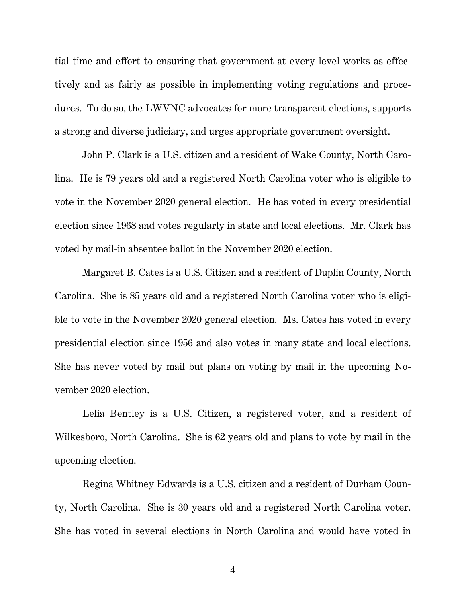tial time and effort to ensuring that government at every level works as effectively and as fairly as possible in implementing voting regulations and procedures. To do so, the LWVNC advocates for more transparent elections, supports a strong and diverse judiciary, and urges appropriate government oversight.

John P. Clark is a U.S. citizen and a resident of Wake County, North Carolina. He is 79 years old and a registered North Carolina voter who is eligible to vote in the November 2020 general election. He has voted in every presidential election since 1968 and votes regularly in state and local elections. Mr. Clark has voted by mail-in absentee ballot in the November 2020 election.

Margaret B. Cates is a U.S. Citizen and a resident of Duplin County, North Carolina. She is 85 years old and a registered North Carolina voter who is eligible to vote in the November 2020 general election. Ms. Cates has voted in every presidential election since 1956 and also votes in many state and local elections. She has never voted by mail but plans on voting by mail in the upcoming November 2020 election.

Lelia Bentley is a U.S. Citizen, a registered voter, and a resident of Wilkesboro, North Carolina. She is 62 years old and plans to vote by mail in the upcoming election.

Regina Whitney Edwards is a U.S. citizen and a resident of Durham County, North Carolina. She is 30 years old and a registered North Carolina voter. She has voted in several elections in North Carolina and would have voted in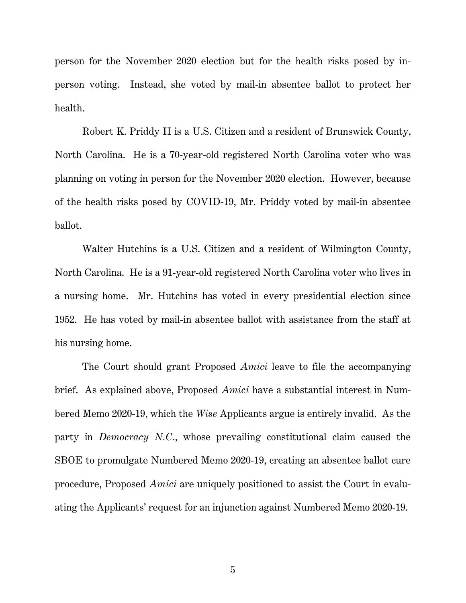person for the November 2020 election but for the health risks posed by inperson voting. Instead, she voted by mail-in absentee ballot to protect her health.

Robert K. Priddy II is a U.S. Citizen and a resident of Brunswick County, North Carolina. He is a 70-year-old registered North Carolina voter who was planning on voting in person for the November 2020 election. However, because of the health risks posed by COVID-19, Mr. Priddy voted by mail-in absentee ballot.

Walter Hutchins is a U.S. Citizen and a resident of Wilmington County, North Carolina. He is a 91-year-old registered North Carolina voter who lives in a nursing home. Mr. Hutchins has voted in every presidential election since 1952. He has voted by mail-in absentee ballot with assistance from the staff at his nursing home.

The Court should grant Proposed *Amici* leave to file the accompanying brief. As explained above, Proposed *Amici* have a substantial interest in Numbered Memo 2020-19, which the *Wise* Applicants argue is entirely invalid. As the party in *Democracy N.C.*, whose prevailing constitutional claim caused the SBOE to promulgate Numbered Memo 2020-19, creating an absentee ballot cure procedure, Proposed *Amici* are uniquely positioned to assist the Court in evaluating the Applicants' request for an injunction against Numbered Memo 2020-19.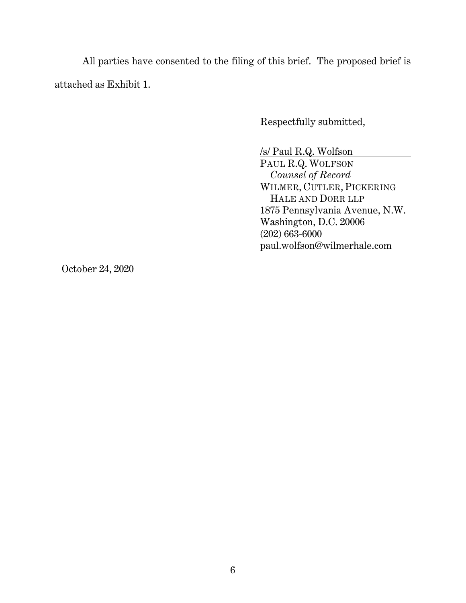All parties have consented to the filing of this brief. The proposed brief is attached as Exhibit 1.

Respectfully submitted,

/s/ Paul R.Q. Wolfson

PAUL R.Q. WOLFSON  *Counsel of Record*  WILMER, CUTLER, PICKERING HALE AND DORR LLP 1875 Pennsylvania Avenue, N.W. Washington, D.C. 20006 (202) 663-6000 paul.wolfson@wilmerhale.com

October 24, 2020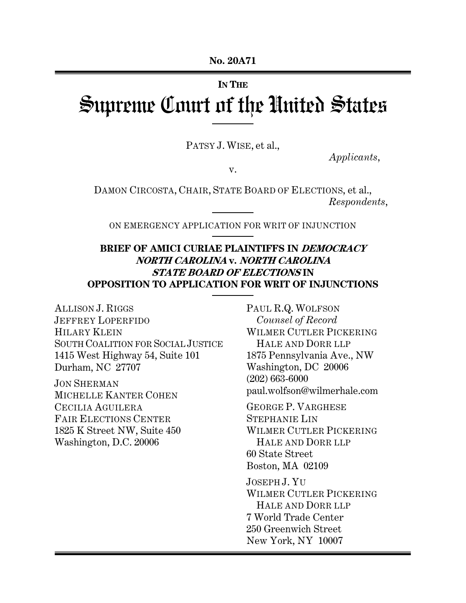#### **IN THE**

# Supreme Court of the United States

PATSY J. WISE, et al.,

*Applicants*,

v.

DAMON CIRCOSTA, CHAIR, STATE BOARD OF ELECTIONS, et al., *Respondents*,

ON EMERGENCY APPLICATION FOR WRIT OF INJUNCTION

# **BRIEF OF AMICI CURIAE PLAINTIFFS IN DEMOCRACY NORTH CAROLINA v. NORTH CAROLINA STATE BOARD OF ELECTIONS IN OPPOSITION TO APPLICATION FOR WRIT OF INJUNCTIONS**

ALLISON J. RIGGS JEFFREY LOPERFIDO HILARY KLEIN SOUTH COALITION FOR SOCIAL JUSTICE 1415 West Highway 54, Suite 101 Durham, NC 27707

JON SHERMAN MICHELLE KANTER COHEN CECILIA AGUILERA FAIR ELECTIONS CENTER 1825 K Street NW, Suite 450 Washington, D.C. 20006

PAUL R.Q. WOLFSON *Counsel of Record* WILMER CUTLER PICKERING HALE AND DORR LLP 1875 Pennsylvania Ave., NW Washington, DC 20006 (202) 663-6000 paul.wolfson@wilmerhale.com

GEORGE P. VARGHESE STEPHANIE LIN WILMER CUTLER PICKERING HALE AND DORR LLP 60 State Street Boston, MA 02109

JOSEPH J. YU WILMER CUTLER PICKERING HALE AND DORR LLP 7 World Trade Center 250 Greenwich Street New York, NY 10007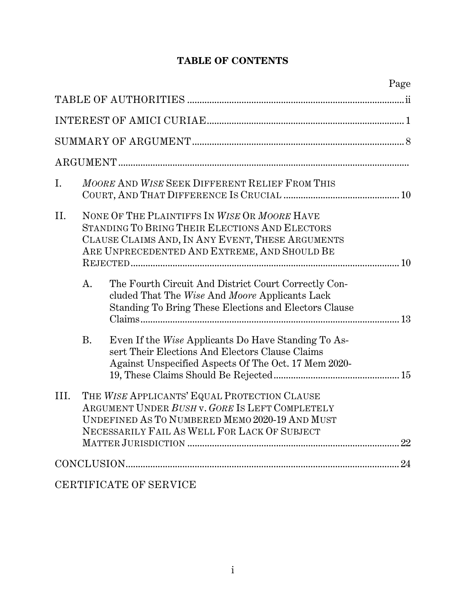# **TABLE OF CONTENTS**

|      |           |                                                                                                                                                                                                    | Page |
|------|-----------|----------------------------------------------------------------------------------------------------------------------------------------------------------------------------------------------------|------|
|      |           |                                                                                                                                                                                                    |      |
|      |           |                                                                                                                                                                                                    |      |
|      |           |                                                                                                                                                                                                    |      |
|      |           |                                                                                                                                                                                                    |      |
| I.   |           | MOORE AND WISE SEEK DIFFERENT RELIEF FROM THIS                                                                                                                                                     |      |
| II.  |           | NONE OF THE PLAINTIFFS IN WISE OR MOORE HAVE<br>STANDING TO BRING THEIR ELECTIONS AND ELECTORS<br>CLAUSE CLAIMS AND, IN ANY EVENT, THESE ARGUMENTS<br>ARE UNPRECEDENTED AND EXTREME, AND SHOULD BE |      |
|      | A.        | The Fourth Circuit And District Court Correctly Con-<br>cluded That The Wise And Moore Applicants Lack<br>Standing To Bring These Elections and Electors Clause                                    |      |
|      | <b>B.</b> | Even If the Wise Applicants Do Have Standing To As-<br>sert Their Elections And Electors Clause Claims<br>Against Unspecified Aspects Of The Oct. 17 Mem 2020-                                     |      |
| III. |           | THE WISE APPLICANTS' EQUAL PROTECTION CLAUSE<br>ARGUMENT UNDER BUSH v. GORE IS LEFT COMPLETELY<br>UNDEFINED AS TO NUMBERED MEMO 2020-19 AND MUST<br>NECESSARILY FAIL AS WELL FOR LACK OF SUBJECT   |      |
|      |           |                                                                                                                                                                                                    |      |
|      |           | CERTIFICATE OF SERVICE                                                                                                                                                                             |      |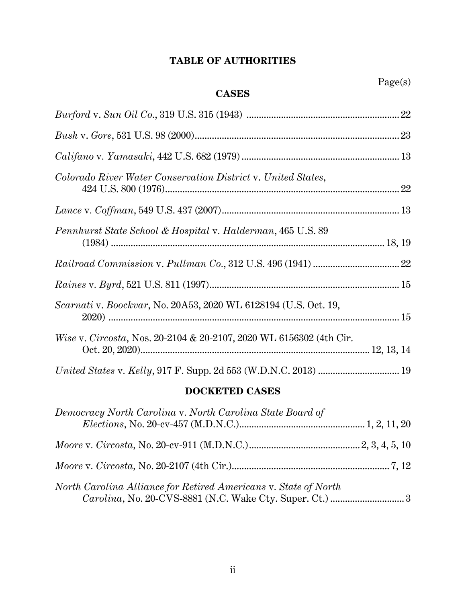# **TABLE OF AUTHORITIES**

# **CASES**

| Colorado River Water Conservation District v. United States,                   |  |
|--------------------------------------------------------------------------------|--|
|                                                                                |  |
| Pennhurst State School & Hospital v. Halderman, 465 U.S. 89                    |  |
|                                                                                |  |
|                                                                                |  |
| Scarnati v. Boockvar, No. 20A53, 2020 WL 6128194 (U.S. Oct. 19,                |  |
| <i>Wise v. Circosta, Nos. 20-2104 &amp; 20-2107, 2020 WL 6156302 (4th Cir.</i> |  |
| United States v. Kelly, 917 F. Supp. 2d 553 (W.D.N.C. 2013)  19                |  |

# **DOCKETED CASES**

| Democracy North Carolina v. North Carolina State Board of       |  |
|-----------------------------------------------------------------|--|
|                                                                 |  |
|                                                                 |  |
| North Carolina Alliance for Retired Americans v. State of North |  |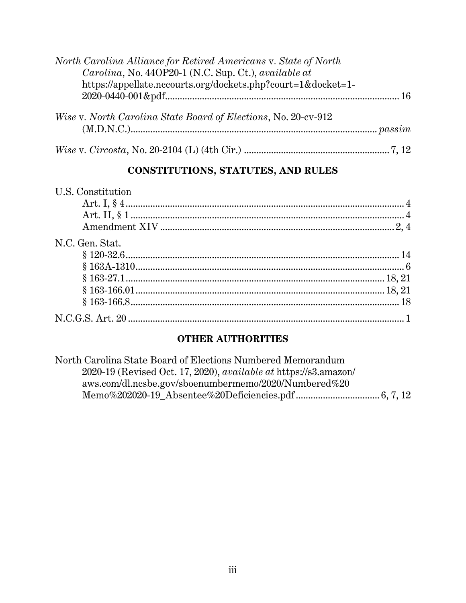| North Carolina Alliance for Retired Americans v. State of North |  |
|-----------------------------------------------------------------|--|
| Carolina, No. 440P20-1 (N.C. Sup. Ct.), available at            |  |
| https://appellate.nccourts.org/dockets.php?court=1&docket=1-    |  |
|                                                                 |  |
| Wise v. North Carolina State Board of Elections, No. 20-cv-912  |  |
|                                                                 |  |
|                                                                 |  |

# CONSTITUTIONS, STATUTES, AND RULES

| U.S. Constitution |  |
|-------------------|--|
|                   |  |
|                   |  |
|                   |  |
| N.C. Gen. Stat.   |  |
|                   |  |
|                   |  |
|                   |  |
|                   |  |
|                   |  |
|                   |  |

# **OTHER AUTHORITIES**

| North Carolina State Board of Elections Numbered Memorandum             |  |
|-------------------------------------------------------------------------|--|
| 2020-19 (Revised Oct. 17, 2020), <i>available at</i> https://s3.amazon/ |  |
| aws.com/dl.ncsbe.gov/sboenumbermemo/2020/Numbered%20                    |  |
|                                                                         |  |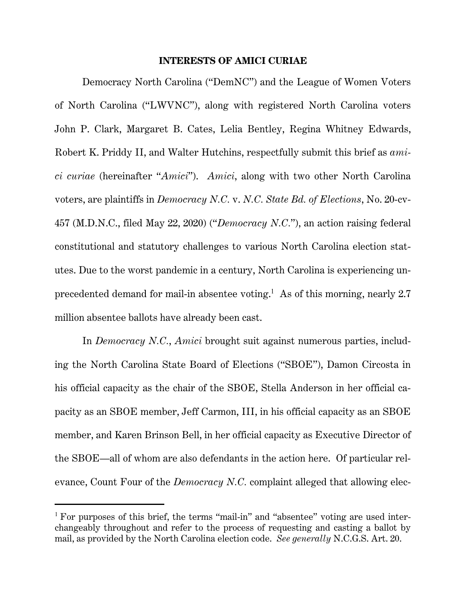#### **INTERESTS OF AMICI CURIAE**

Democracy North Carolina ("DemNC") and the League of Women Voters of North Carolina ("LWVNC"), along with registered North Carolina voters John P. Clark, Margaret B. Cates, Lelia Bentley, Regina Whitney Edwards, Robert K. Priddy II, and Walter Hutchins, respectfully submit this brief as *amici curiae* (hereinafter "*Amici*"). *Amici*, along with two other North Carolina voters, are plaintiffs in *Democracy N.C.* v. *N.C. State Bd. of Elections*, No. 20-cv-457 (M.D.N.C., filed May 22, 2020) ("*Democracy N.C.*"), an action raising federal constitutional and statutory challenges to various North Carolina election statutes. Due to the worst pandemic in a century, North Carolina is experiencing unprecedented demand for mail-in absentee voting.<sup>1</sup> As of this morning, nearly 2.7 million absentee ballots have already been cast.

In *Democracy N.C.*, *Amici* brought suit against numerous parties, including the North Carolina State Board of Elections ("SBOE"), Damon Circosta in his official capacity as the chair of the SBOE, Stella Anderson in her official capacity as an SBOE member, Jeff Carmon, III, in his official capacity as an SBOE member, and Karen Brinson Bell, in her official capacity as Executive Director of the SBOE—all of whom are also defendants in the action here. Of particular relevance, Count Four of the *Democracy N.C.* complaint alleged that allowing elec-

<sup>&</sup>lt;sup>1</sup> For purposes of this brief, the terms "mail-in" and "absentee" voting are used interchangeably throughout and refer to the process of requesting and casting a ballot by mail, as provided by the North Carolina election code. *See generally* N.C.G.S. Art. 20.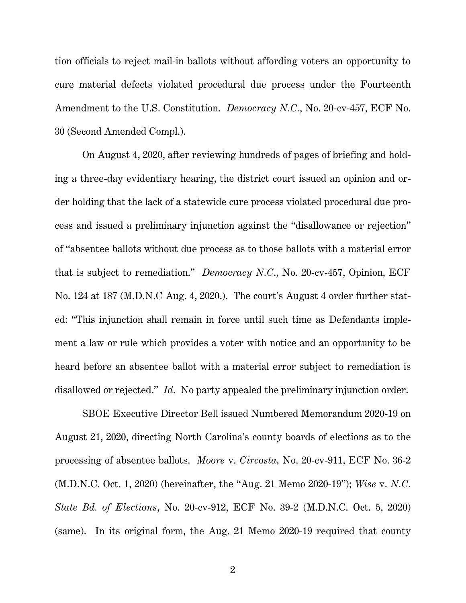tion officials to reject mail-in ballots without affording voters an opportunity to cure material defects violated procedural due process under the Fourteenth Amendment to the U.S. Constitution. *Democracy N.C.*, No. 20-cv-457, ECF No. 30 (Second Amended Compl.).

On August 4, 2020, after reviewing hundreds of pages of briefing and holding a three-day evidentiary hearing, the district court issued an opinion and order holding that the lack of a statewide cure process violated procedural due process and issued a preliminary injunction against the "disallowance or rejection" of "absentee ballots without due process as to those ballots with a material error that is subject to remediation." *Democracy N.C*., No. 20-cv-457, Opinion*,* ECF No. 124 at 187 (M.D.N.C Aug. 4, 2020.). The court's August 4 order further stated: "This injunction shall remain in force until such time as Defendants implement a law or rule which provides a voter with notice and an opportunity to be heard before an absentee ballot with a material error subject to remediation is disallowed or rejected." *Id*. No party appealed the preliminary injunction order.

SBOE Executive Director Bell issued Numbered Memorandum 2020-19 on August 21, 2020, directing North Carolina's county boards of elections as to the processing of absentee ballots. *Moore* v. *Circosta,* No. 20-cv-911, ECF No. 36-2 (M.D.N.C. Oct. 1, 2020) (hereinafter, the "Aug. 21 Memo 2020-19"); *Wise* v. *N.C. State Bd. of Elections*, No. 20-cv-912, ECF No. 39-2 (M.D.N.C. Oct. 5, 2020) (same). In its original form, the Aug. 21 Memo 2020-19 required that county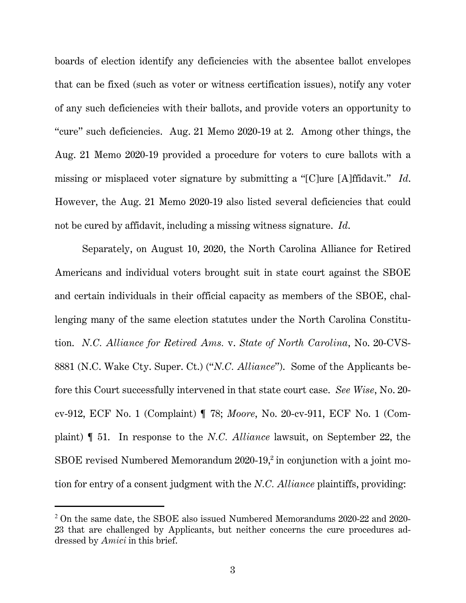boards of election identify any deficiencies with the absentee ballot envelopes that can be fixed (such as voter or witness certification issues), notify any voter of any such deficiencies with their ballots, and provide voters an opportunity to "cure" such deficiencies. Aug. 21 Memo 2020-19 at 2. Among other things, the Aug. 21 Memo 2020-19 provided a procedure for voters to cure ballots with a missing or misplaced voter signature by submitting a "[C]ure [A]ffidavit." *Id*. However, the Aug. 21 Memo 2020-19 also listed several deficiencies that could not be cured by affidavit, including a missing witness signature. *Id*.

Separately, on August 10, 2020, the North Carolina Alliance for Retired Americans and individual voters brought suit in state court against the SBOE and certain individuals in their official capacity as members of the SBOE, challenging many of the same election statutes under the North Carolina Constitution. *N.C. Alliance for Retired Ams.* v. *State of North Carolina*, No. 20-CVS-8881 (N.C. Wake Cty. Super. Ct.) ("*N.C. Alliance*"). Some of the Applicants before this Court successfully intervened in that state court case. *See Wise*, No. 20 cv-912, ECF No. 1 (Complaint) ¶ 78; *Moore*, No. 20-cv-911, ECF No. 1 (Complaint) ¶ 51. In response to the *N.C. Alliance* lawsuit, on September 22, the SBOE revised Numbered Memorandum  $2020$ -19,<sup>2</sup> in conjunction with a joint motion for entry of a consent judgment with the *N.C. Alliance* plaintiffs, providing:

<sup>&</sup>lt;sup>2</sup> On the same date, the SBOE also issued Numbered Memorandums 2020-22 and 2020-23 that are challenged by Applicants, but neither concerns the cure procedures addressed by *Amici* in this brief.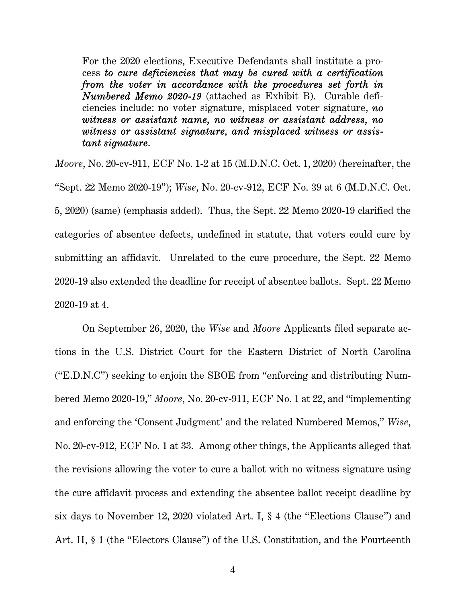For the 2020 elections, Executive Defendants shall institute a process *to cure deficiencies that may be cured with a certification from the voter in accordance with the procedures set forth in Numbered Memo 2020-19* (attached as Exhibit B). Curable deficiencies include: no voter signature, misplaced voter signature, *no witness or assistant name, no witness or assistant address, no witness or assistant signature, and misplaced witness or assistant signature*.

*Moore*, No. 20-cv-911, ECF No. 1-2 at 15 (M.D.N.C. Oct. 1, 2020) (hereinafter, the "Sept. 22 Memo 2020-19"); *Wise*, No. 20-cv-912, ECF No. 39 at 6 (M.D.N.C. Oct. 5, 2020) (same) (emphasis added). Thus, the Sept. 22 Memo 2020-19 clarified the categories of absentee defects, undefined in statute, that voters could cure by submitting an affidavit. Unrelated to the cure procedure, the Sept. 22 Memo 2020-19 also extended the deadline for receipt of absentee ballots. Sept. 22 Memo 2020-19 at 4.

On September 26, 2020, the *Wise* and *Moore* Applicants filed separate actions in the U.S. District Court for the Eastern District of North Carolina ("E.D.N.C") seeking to enjoin the SBOE from "enforcing and distributing Numbered Memo 2020-19," *Moore*, No. 20-cv-911, ECF No. 1 at 22, and "implementing and enforcing the 'Consent Judgment' and the related Numbered Memos," *Wise*, No. 20-cv-912, ECF No. 1 at 33. Among other things, the Applicants alleged that the revisions allowing the voter to cure a ballot with no witness signature using the cure affidavit process and extending the absentee ballot receipt deadline by six days to November 12, 2020 violated Art. I, § 4 (the "Elections Clause") and Art. II, § 1 (the "Electors Clause") of the U.S. Constitution, and the Fourteenth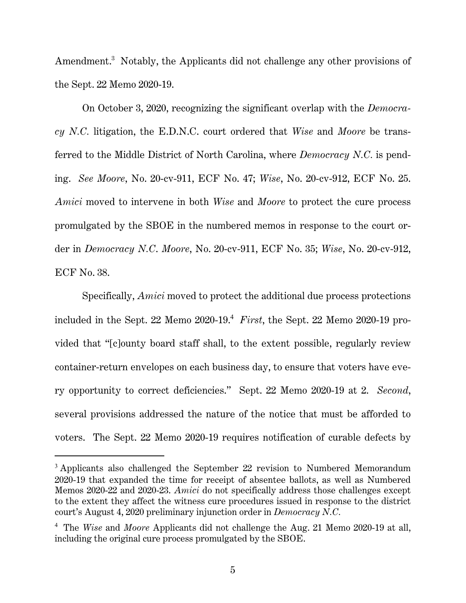Amendment.<sup>3</sup> Notably, the Applicants did not challenge any other provisions of the Sept. 22 Memo 2020-19.

On October 3, 2020, recognizing the significant overlap with the *Democracy N.C.* litigation, the E.D.N.C. court ordered that *Wise* and *Moore* be transferred to the Middle District of North Carolina, where *Democracy N.C.* is pending. *See Moore*, No. 20-cv-911, ECF No. 47; *Wise*, No. 20-cv-912, ECF No. 25. *Amici* moved to intervene in both *Wise* and *Moore* to protect the cure process promulgated by the SBOE in the numbered memos in response to the court order in *Democracy N.C*. *Moore*, No. 20-cv-911, ECF No. 35; *Wise*, No. 20-cv-912, ECF No. 38.

Specifically, *Amici* moved to protect the additional due process protections included in the Sept. 22 Memo 2020-19.<sup>4</sup> *First*, the Sept. 22 Memo 2020-19 provided that "[c]ounty board staff shall, to the extent possible, regularly review container-return envelopes on each business day, to ensure that voters have every opportunity to correct deficiencies." Sept. 22 Memo 2020-19 at 2. *Second*, several provisions addressed the nature of the notice that must be afforded to voters. The Sept. 22 Memo 2020-19 requires notification of curable defects by

<sup>&</sup>lt;sup>3</sup> Applicants also challenged the September 22 revision to Numbered Memorandum 2020-19 that expanded the time for receipt of absentee ballots, as well as Numbered Memos 2020-22 and 2020-23. *Amici* do not specifically address those challenges except to the extent they affect the witness cure procedures issued in response to the district court's August 4, 2020 preliminary injunction order in *Democracy N.C.*

<sup>4</sup> The *Wise* and *Moore* Applicants did not challenge the Aug. 21 Memo 2020-19 at all, including the original cure process promulgated by the SBOE.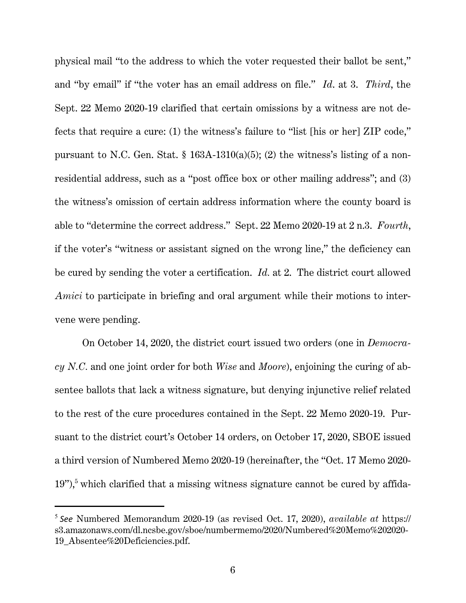physical mail "to the address to which the voter requested their ballot be sent," and "by email" if "the voter has an email address on file." *Id*. at 3. *Third*, the Sept. 22 Memo 2020-19 clarified that certain omissions by a witness are not defects that require a cure: (1) the witness's failure to "list [his or her] ZIP code," pursuant to N.C. Gen. Stat.  $\S$  163A-1310(a)(5); (2) the witness's listing of a nonresidential address, such as a "post office box or other mailing address"; and (3) the witness's omission of certain address information where the county board is able to "determine the correct address." Sept. 22 Memo 2020-19 at 2 n.3. *Fourth*, if the voter's "witness or assistant signed on the wrong line," the deficiency can be cured by sending the voter a certification. *Id.* at 2. The district court allowed *Amici* to participate in briefing and oral argument while their motions to intervene were pending.

On October 14, 2020, the district court issued two orders (one in *Democracy N.C.* and one joint order for both *Wise* and *Moore*), enjoining the curing of absentee ballots that lack a witness signature, but denying injunctive relief related to the rest of the cure procedures contained in the Sept. 22 Memo 2020-19. Pursuant to the district court's October 14 orders, on October 17, 2020, SBOE issued a third version of Numbered Memo 2020-19 (hereinafter, the "Oct. 17 Memo 2020-  $19$ "),<sup>5</sup> which clarified that a missing witness signature cannot be cured by affida-

<sup>5</sup> *See* Numbered Memorandum 2020-19 (as revised Oct. 17, 2020), *available at* https:// s3.amazonaws.com/dl.ncsbe.gov/sboe/numbermemo/2020/Numbered%20Memo%202020- 19\_Absentee%20Deficiencies.pdf.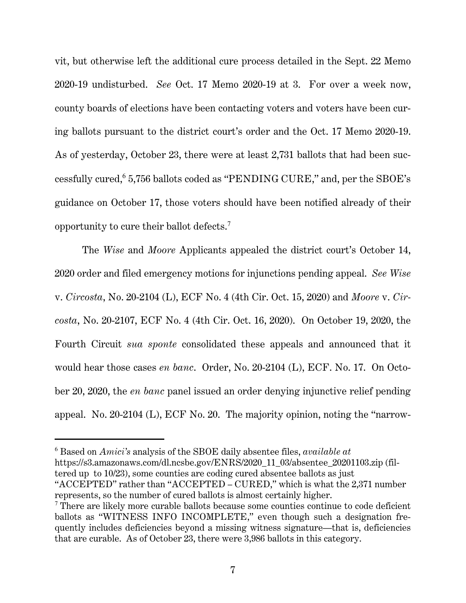vit, but otherwise left the additional cure process detailed in the Sept. 22 Memo 2020-19 undisturbed. *See* Oct. 17 Memo 2020-19 at 3. For over a week now, county boards of elections have been contacting voters and voters have been curing ballots pursuant to the district court's order and the Oct. 17 Memo 2020-19. As of yesterday, October 23, there were at least 2,731 ballots that had been successfully cured,<sup>6</sup> 5,756 ballots coded as "PENDING CURE," and, per the SBOE's guidance on October 17, those voters should have been notified already of their opportunity to cure their ballot defects.<sup>7</sup>

The *Wise* and *Moore* Applicants appealed the district court's October 14, 2020 order and filed emergency motions for injunctions pending appeal. *See Wise*  v. *Circosta*, No. 20-2104 (L), ECF No. 4 (4th Cir. Oct. 15, 2020) and *Moore* v. *Circosta*, No. 20-2107, ECF No. 4 (4th Cir. Oct. 16, 2020). On October 19, 2020, the Fourth Circuit *sua sponte* consolidated these appeals and announced that it would hear those cases *en banc*. Order, No. 20-2104 (L), ECF. No. 17. On October 20, 2020, the *en banc* panel issued an order denying injunctive relief pending appeal. No. 20-2104 (L), ECF No. 20. The majority opinion, noting the "narrow-

tered up to 10/23), some counties are coding cured absentee ballots as just

<sup>6</sup> Based on *Amici's* analysis of the SBOE daily absentee files, *available at* https://s3.amazonaws.com/dl.ncsbe.gov/ENRS/2020\_11\_03/absentee\_20201103.zip (fil-

<sup>&</sup>quot;ACCEPTED" rather than "ACCEPTED – CURED," which is what the 2,371 number represents, so the number of cured ballots is almost certainly higher.

<sup>&</sup>lt;sup>7</sup> There are likely more curable ballots because some counties continue to code deficient ballots as "WITNESS INFO INCOMPLETE," even though such a designation frequently includes deficiencies beyond a missing witness signature—that is, deficiencies that are curable. As of October 23, there were 3,986 ballots in this category.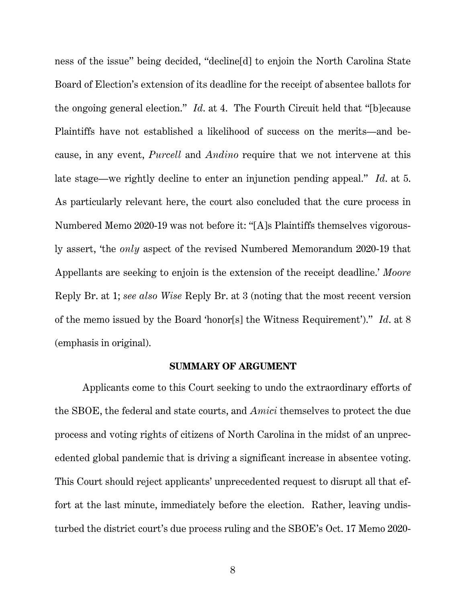ness of the issue" being decided, "decline[d] to enjoin the North Carolina State Board of Election's extension of its deadline for the receipt of absentee ballots for the ongoing general election." *Id*. at 4. The Fourth Circuit held that "[b]ecause Plaintiffs have not established a likelihood of success on the merits—and because, in any event, *Purcell* and *Andino* require that we not intervene at this late stage—we rightly decline to enter an injunction pending appeal." *Id*. at 5. As particularly relevant here, the court also concluded that the cure process in Numbered Memo 2020-19 was not before it: "[A]s Plaintiffs themselves vigorously assert, 'the *only* aspect of the revised Numbered Memorandum 2020-19 that Appellants are seeking to enjoin is the extension of the receipt deadline.' *Moore* Reply Br. at 1; *see also Wise* Reply Br. at 3 (noting that the most recent version of the memo issued by the Board 'honor[s] the Witness Requirement')." *Id*. at 8 (emphasis in original).

#### **SUMMARY OF ARGUMENT**

Applicants come to this Court seeking to undo the extraordinary efforts of the SBOE, the federal and state courts, and *Amici* themselves to protect the due process and voting rights of citizens of North Carolina in the midst of an unprecedented global pandemic that is driving a significant increase in absentee voting. This Court should reject applicants' unprecedented request to disrupt all that effort at the last minute, immediately before the election. Rather, leaving undisturbed the district court's due process ruling and the SBOE's Oct. 17 Memo 2020-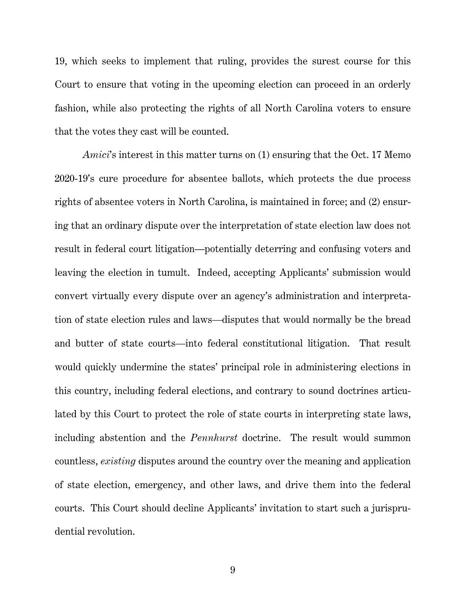19, which seeks to implement that ruling, provides the surest course for this Court to ensure that voting in the upcoming election can proceed in an orderly fashion, while also protecting the rights of all North Carolina voters to ensure that the votes they cast will be counted.

*Amici*'s interest in this matter turns on (1) ensuring that the Oct. 17 Memo 2020-19's cure procedure for absentee ballots, which protects the due process rights of absentee voters in North Carolina, is maintained in force; and (2) ensuring that an ordinary dispute over the interpretation of state election law does not result in federal court litigation—potentially deterring and confusing voters and leaving the election in tumult. Indeed, accepting Applicants' submission would convert virtually every dispute over an agency's administration and interpretation of state election rules and laws—disputes that would normally be the bread and butter of state courts—into federal constitutional litigation. That result would quickly undermine the states' principal role in administering elections in this country, including federal elections, and contrary to sound doctrines articulated by this Court to protect the role of state courts in interpreting state laws, including abstention and the *Pennhurst* doctrine. The result would summon countless, *existing* disputes around the country over the meaning and application of state election, emergency, and other laws, and drive them into the federal courts. This Court should decline Applicants' invitation to start such a jurisprudential revolution.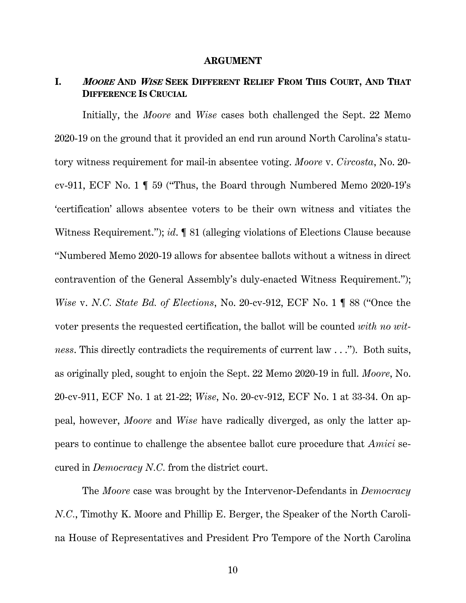#### **ARGUMENT**

# **I. <sup>M</sup>OORE AND <sup>W</sup>ISE SEEK DIFFERENT RELIEF FROM THIS COURT, AND THAT DIFFERENCE IS CRUCIAL**

Initially, the *Moore* and *Wise* cases both challenged the Sept. 22 Memo 2020-19 on the ground that it provided an end run around North Carolina's statutory witness requirement for mail-in absentee voting. *Moore* v. *Circosta*, No. 20 cv-911, ECF No. 1 ¶ 59 ("Thus, the Board through Numbered Memo 2020-19's 'certification' allows absentee voters to be their own witness and vitiates the Witness Requirement."); *id.*  $\llbracket$  81 (alleging violations of Elections Clause because "Numbered Memo 2020-19 allows for absentee ballots without a witness in direct contravention of the General Assembly's duly-enacted Witness Requirement."); *Wise* v. *N.C. State Bd. of Elections*, No. 20-cv-912, ECF No. 1 ¶ 88 ("Once the voter presents the requested certification, the ballot will be counted *with no witness*. This directly contradicts the requirements of current law . . ."). Both suits, as originally pled, sought to enjoin the Sept. 22 Memo 2020-19 in full. *Moore*, No. 20-cv-911, ECF No. 1 at 21-22; *Wise*, No. 20-cv-912, ECF No. 1 at 33-34. On appeal, however, *Moore* and *Wise* have radically diverged, as only the latter appears to continue to challenge the absentee ballot cure procedure that *Amici* secured in *Democracy N.C.* from the district court.

The *Moore* case was brought by the Intervenor-Defendants in *Democracy N.C.*, Timothy K. Moore and Phillip E. Berger, the Speaker of the North Carolina House of Representatives and President Pro Tempore of the North Carolina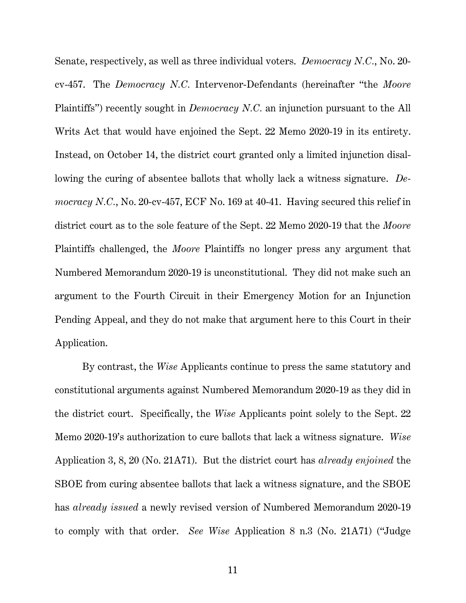Senate, respectively, as well as three individual voters. *Democracy N.C.*, No. 20 cv-457. The *Democracy N.C.* Intervenor-Defendants (hereinafter "the *Moore*  Plaintiffs") recently sought in *Democracy N.C.* an injunction pursuant to the All Writs Act that would have enjoined the Sept. 22 Memo 2020-19 in its entirety. Instead, on October 14, the district court granted only a limited injunction disallowing the curing of absentee ballots that wholly lack a witness signature. *Democracy N.C.*, No. 20-cv-457, ECF No. 169 at 40-41. Having secured this relief in district court as to the sole feature of the Sept. 22 Memo 2020-19 that the *Moore*  Plaintiffs challenged, the *Moore* Plaintiffs no longer press any argument that Numbered Memorandum 2020-19 is unconstitutional. They did not make such an argument to the Fourth Circuit in their Emergency Motion for an Injunction Pending Appeal, and they do not make that argument here to this Court in their Application.

By contrast, the *Wise* Applicants continue to press the same statutory and constitutional arguments against Numbered Memorandum 2020-19 as they did in the district court. Specifically, the *Wise* Applicants point solely to the Sept. 22 Memo 2020-19's authorization to cure ballots that lack a witness signature. *Wise*  Application 3, 8, 20 (No. 21A71). But the district court has *already enjoined* the SBOE from curing absentee ballots that lack a witness signature, and the SBOE has *already issued* a newly revised version of Numbered Memorandum 2020-19 to comply with that order. *See Wise* Application 8 n.3 (No. 21A71) ("Judge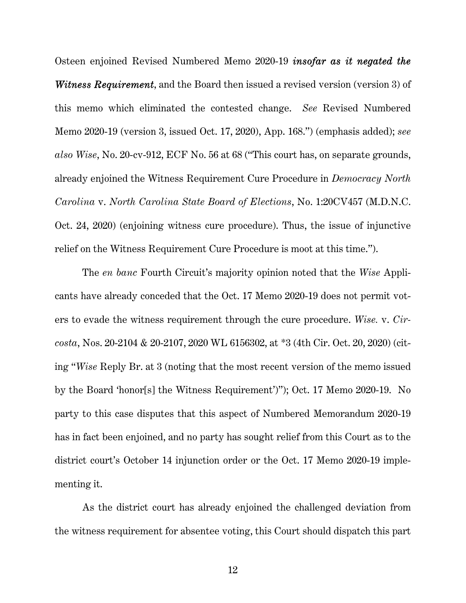Osteen enjoined Revised Numbered Memo 2020-19 *insofar as it negated the Witness Requirement*, and the Board then issued a revised version (version 3) of this memo which eliminated the contested change. *See* Revised Numbered Memo 2020-19 (version 3, issued Oct. 17, 2020), App. 168.") (emphasis added); *see also Wise*, No. 20-cv-912, ECF No. 56 at 68 ("This court has, on separate grounds, already enjoined the Witness Requirement Cure Procedure in *Democracy North Carolina* v. *North Carolina State Board of Elections*, No. 1:20CV457 (M.D.N.C. Oct. 24, 2020) (enjoining witness cure procedure). Thus, the issue of injunctive relief on the Witness Requirement Cure Procedure is moot at this time.").

The *en banc* Fourth Circuit's majority opinion noted that the *Wise* Applicants have already conceded that the Oct. 17 Memo 2020-19 does not permit voters to evade the witness requirement through the cure procedure. *Wise.* v. *Circosta*, Nos. 20-2104 & 20-2107, 2020 WL 6156302, at \*3 (4th Cir. Oct. 20, 2020) (citing "*Wise* Reply Br. at 3 (noting that the most recent version of the memo issued by the Board 'honor[s] the Witness Requirement')"); Oct. 17 Memo 2020-19. No party to this case disputes that this aspect of Numbered Memorandum 2020-19 has in fact been enjoined, and no party has sought relief from this Court as to the district court's October 14 injunction order or the Oct. 17 Memo 2020-19 implementing it.

As the district court has already enjoined the challenged deviation from the witness requirement for absentee voting, this Court should dispatch this part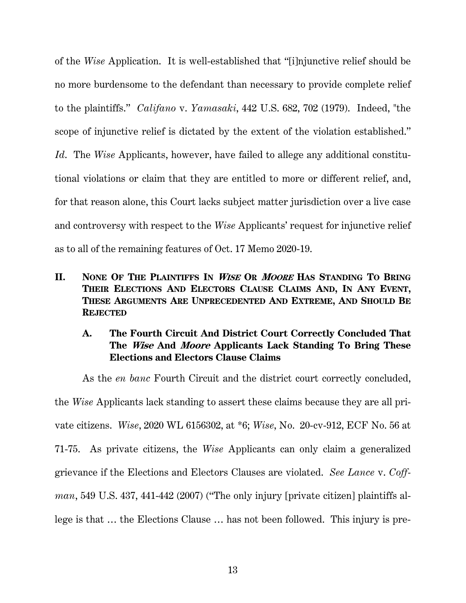of the *Wise* Application. It is well-established that "[i]njunctive relief should be no more burdensome to the defendant than necessary to provide complete relief to the plaintiffs." *Califano* v. *Yamasaki*, 442 U.S. 682, 702 (1979). Indeed, "the scope of injunctive relief is dictated by the extent of the violation established." *Id*.The *Wise* Applicants, however, have failed to allege any additional constitutional violations or claim that they are entitled to more or different relief, and, for that reason alone, this Court lacks subject matter jurisdiction over a live case and controversy with respect to the *Wise* Applicants' request for injunctive relief as to all of the remaining features of Oct. 17 Memo 2020-19.

**II. NONE OF THE PLAINTIFFS IN <sup>W</sup>ISE OR <sup>M</sup>OORE HAS STANDING TO BRING THEIR ELECTIONS AND ELECTORS CLAUSE CLAIMS AND, IN ANY EVENT, THESE ARGUMENTS ARE UNPRECEDENTED AND EXTREME, AND SHOULD BE REJECTED**

## **A. The Fourth Circuit And District Court Correctly Concluded That The Wise And Moore Applicants Lack Standing To Bring These Elections and Electors Clause Claims**

As the *en banc* Fourth Circuit and the district court correctly concluded, the *Wise* Applicants lack standing to assert these claims because they are all private citizens. *Wise*, 2020 WL 6156302, at \*6; *Wise*, No. 20-cv-912, ECF No. 56 at 71-75. As private citizens, the *Wise* Applicants can only claim a generalized grievance if the Elections and Electors Clauses are violated. *See Lance* v. *Coffman*, 549 U.S. 437, 441-442 (2007) ("The only injury [private citizen] plaintiffs allege is that … the Elections Clause … has not been followed. This injury is pre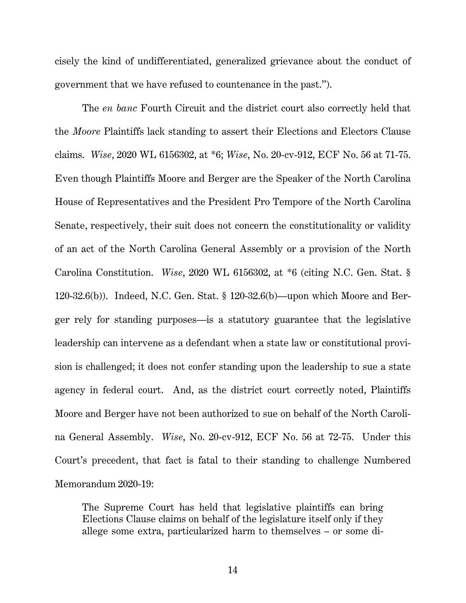cisely the kind of undifferentiated, generalized grievance about the conduct of government that we have refused to countenance in the past.").

The *en banc* Fourth Circuit and the district court also correctly held that the *Moore* Plaintiffs lack standing to assert their Elections and Electors Clause claims. *Wise*, 2020 WL 6156302, at \*6; *Wise*, No. 20-cv-912, ECF No. 56 at 71-75. Even though Plaintiffs Moore and Berger are the Speaker of the North Carolina House of Representatives and the President Pro Tempore of the North Carolina Senate, respectively, their suit does not concern the constitutionality or validity of an act of the North Carolina General Assembly or a provision of the North Carolina Constitution. *Wise*, 2020 WL 6156302, at \*6 (citing N.C. Gen. Stat. § 120-32.6(b)). Indeed, N.C. Gen. Stat. § 120-32.6(b)—upon which Moore and Berger rely for standing purposes—is a statutory guarantee that the legislative leadership can intervene as a defendant when a state law or constitutional provision is challenged; it does not confer standing upon the leadership to sue a state agency in federal court. And, as the district court correctly noted, Plaintiffs Moore and Berger have not been authorized to sue on behalf of the North Carolina General Assembly. *Wise*, No. 20-cv-912, ECF No. 56 at 72-75. Under this Court's precedent, that fact is fatal to their standing to challenge Numbered Memorandum 2020-19:

The Supreme Court has held that legislative plaintiffs can bring Elections Clause claims on behalf of the legislature itself only if they allege some extra, particularized harm to themselves – or some di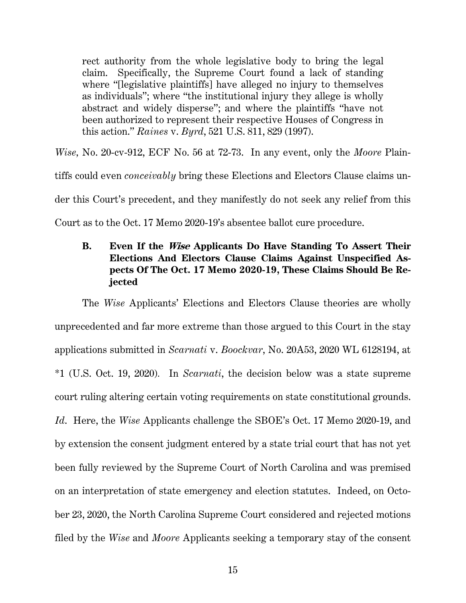rect authority from the whole legislative body to bring the legal claim. Specifically, the Supreme Court found a lack of standing where "[legislative plaintiffs] have alleged no injury to themselves as individuals"; where "the institutional injury they allege is wholly abstract and widely disperse"; and where the plaintiffs "have not been authorized to represent their respective Houses of Congress in this action." *Raines* v. *Byrd*, 521 U.S. 811, 829 (1997).

*Wise,* No. 20-cv-912, ECF No. 56 at 72-73. In any event, only the *Moore* Plain-

tiffs could even *conceivably* bring these Elections and Electors Clause claims un-

der this Court's precedent, and they manifestly do not seek any relief from this

Court as to the Oct. 17 Memo 2020-19's absentee ballot cure procedure.

# **B. Even If the Wise Applicants Do Have Standing To Assert Their Elections And Electors Clause Claims Against Unspecified Aspects Of The Oct. 17 Memo 2020-19, These Claims Should Be Rejected**

The *Wise* Applicants' Elections and Electors Clause theories are wholly unprecedented and far more extreme than those argued to this Court in the stay applications submitted in *Scarnati* v. *Boockvar*, No. 20A53, 2020 WL 6128194, at \*1 (U.S. Oct. 19, 2020)*.* In *Scarnati*, the decision below was a state supreme court ruling altering certain voting requirements on state constitutional grounds. *Id*. Here, the *Wise* Applicants challenge the SBOE's Oct. 17 Memo 2020-19, and by extension the consent judgment entered by a state trial court that has not yet been fully reviewed by the Supreme Court of North Carolina and was premised on an interpretation of state emergency and election statutes. Indeed, on October 23, 2020, the North Carolina Supreme Court considered and rejected motions filed by the *Wise* and *Moore* Applicants seeking a temporary stay of the consent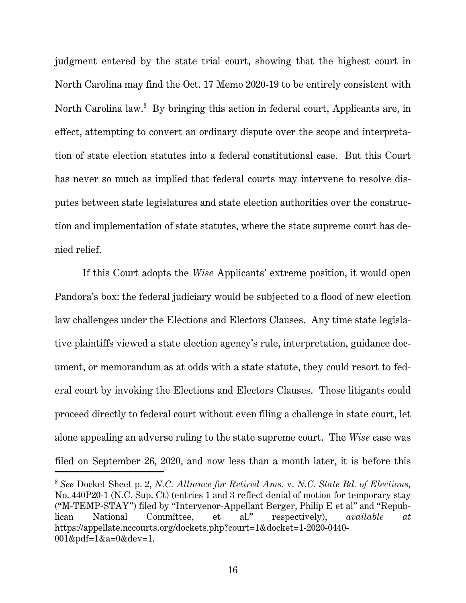judgment entered by the state trial court, showing that the highest court in North Carolina may find the Oct. 17 Memo 2020-19 to be entirely consistent with North Carolina law.<sup>8</sup> By bringing this action in federal court, Applicants are, in effect, attempting to convert an ordinary dispute over the scope and interpretation of state election statutes into a federal constitutional case. But this Court has never so much as implied that federal courts may intervene to resolve disputes between state legislatures and state election authorities over the construction and implementation of state statutes, where the state supreme court has denied relief.

If this Court adopts the *Wise* Applicants' extreme position, it would open Pandora's box: the federal judiciary would be subjected to a flood of new election law challenges under the Elections and Electors Clauses. Any time state legislative plaintiffs viewed a state election agency's rule, interpretation, guidance document, or memorandum as at odds with a state statute, they could resort to federal court by invoking the Elections and Electors Clauses. Those litigants could proceed directly to federal court without even filing a challenge in state court, let alone appealing an adverse ruling to the state supreme court. The *Wise* case was filed on September 26, 2020, and now less than a month later, it is before this

<sup>8</sup>  *See* Docket Sheet p. 2, *N.C. Alliance for Retired Ams.* v. *N.C. State Bd. of Elections,*  No. 440P20-1 (N.C. Sup. Ct) (entries 1 and 3 reflect denial of motion for temporary stay ("M-TEMP-STAY") filed by "Intervenor-Appellant Berger, Philip E et al" and "Repub-<br>
lican Mational Committee. et al." respectively).  $available$  at lican National Committee, et al." respectively), *available at* https://appellate.nccourts.org/dockets.php?court=1&docket=1-2020-0440- 001&pdf=1&a=0&dev=1.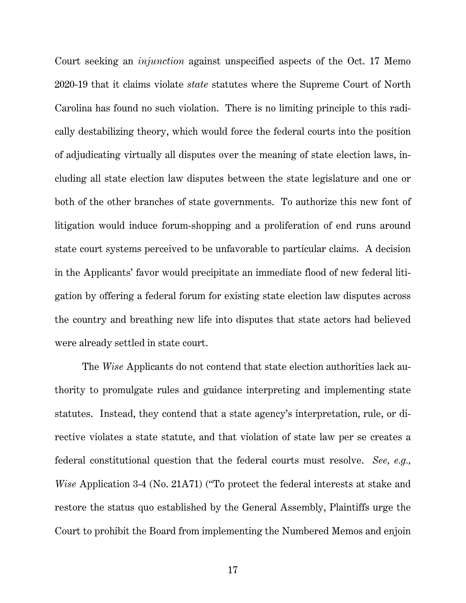Court seeking an *injunction* against unspecified aspects of the Oct. 17 Memo 2020-19 that it claims violate *state* statutes where the Supreme Court of North Carolina has found no such violation. There is no limiting principle to this radically destabilizing theory, which would force the federal courts into the position of adjudicating virtually all disputes over the meaning of state election laws, including all state election law disputes between the state legislature and one or both of the other branches of state governments. To authorize this new font of litigation would induce forum-shopping and a proliferation of end runs around state court systems perceived to be unfavorable to particular claims. A decision in the Applicants' favor would precipitate an immediate flood of new federal litigation by offering a federal forum for existing state election law disputes across the country and breathing new life into disputes that state actors had believed were already settled in state court.

The *Wise* Applicants do not contend that state election authorities lack authority to promulgate rules and guidance interpreting and implementing state statutes. Instead, they contend that a state agency's interpretation, rule, or directive violates a state statute, and that violation of state law per se creates a federal constitutional question that the federal courts must resolve. *See, e.g., Wise* Application 3-4 (No. 21A71) ("To protect the federal interests at stake and restore the status quo established by the General Assembly, Plaintiffs urge the Court to prohibit the Board from implementing the Numbered Memos and enjoin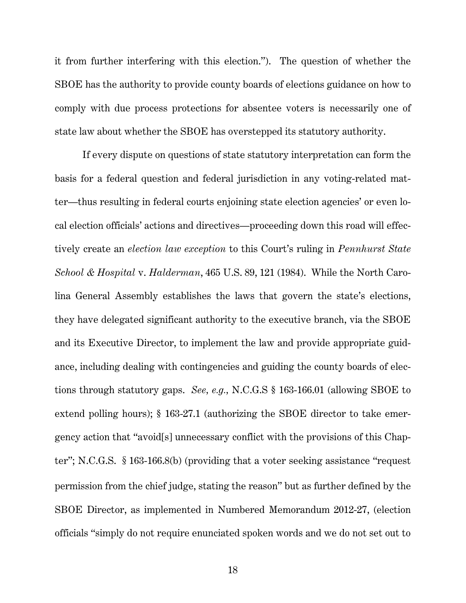it from further interfering with this election."). The question of whether the SBOE has the authority to provide county boards of elections guidance on how to comply with due process protections for absentee voters is necessarily one of state law about whether the SBOE has overstepped its statutory authority.

If every dispute on questions of state statutory interpretation can form the basis for a federal question and federal jurisdiction in any voting-related matter—thus resulting in federal courts enjoining state election agencies' or even local election officials' actions and directives—proceeding down this road will effectively create an *election law exception* to this Court's ruling in *Pennhurst State School & Hospital* v. *Halderman*, 465 U.S. 89, 121 (1984). While the North Carolina General Assembly establishes the laws that govern the state's elections, they have delegated significant authority to the executive branch, via the SBOE and its Executive Director, to implement the law and provide appropriate guidance, including dealing with contingencies and guiding the county boards of elections through statutory gaps. *See, e.g.,* N.C.G.S § 163-166.01 (allowing SBOE to extend polling hours); § 163-27.1 (authorizing the SBOE director to take emergency action that "avoid[s] unnecessary conflict with the provisions of this Chapter"; N.C.G.S. §163-166.8(b) (providing that a voter seeking assistance "request permission from the chief judge, stating the reason" but as further defined by the SBOE Director, as implemented in Numbered Memorandum 2012-27, (election officials "simply do not require enunciated spoken words and we do not set out to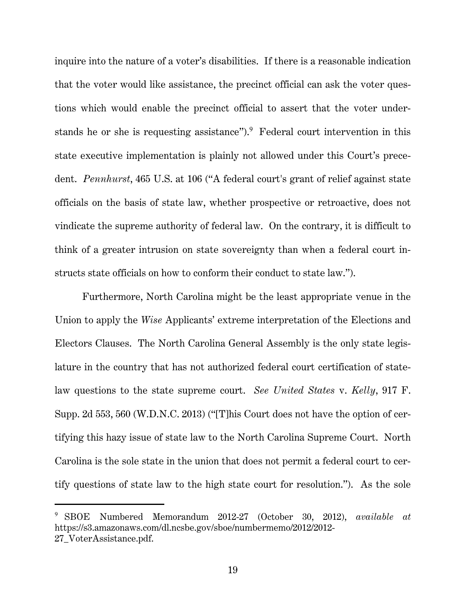inquire into the nature of a voter's disabilities. If there is a reasonable indication that the voter would like assistance, the precinct official can ask the voter questions which would enable the precinct official to assert that the voter understands he or she is requesting assistance"). Pederal court intervention in this state executive implementation is plainly not allowed under this Court's precedent. *Pennhurst*, 465 U.S. at 106 ("A federal court's grant of relief against state officials on the basis of state law, whether prospective or retroactive, does not vindicate the supreme authority of federal law. On the contrary, it is difficult to think of a greater intrusion on state sovereignty than when a federal court instructs state officials on how to conform their conduct to state law.").

Furthermore, North Carolina might be the least appropriate venue in the Union to apply the *Wise* Applicants' extreme interpretation of the Elections and Electors Clauses. The North Carolina General Assembly is the only state legislature in the country that has not authorized federal court certification of statelaw questions to the state supreme court. *See United States* v. *Kelly*, 917 F. Supp. 2d 553, 560 (W.D.N.C. 2013) ("[T]his Court does not have the option of certifying this hazy issue of state law to the North Carolina Supreme Court. North Carolina is the sole state in the union that does not permit a federal court to certify questions of state law to the high state court for resolution."). As the sole

<sup>9</sup> SBOE Numbered Memorandum 2012-27 (October 30, 2012), *available at* https://s3.amazonaws.com/dl.ncsbe.gov/sboe/numbermemo/2012/2012- 27\_VoterAssistance.pdf.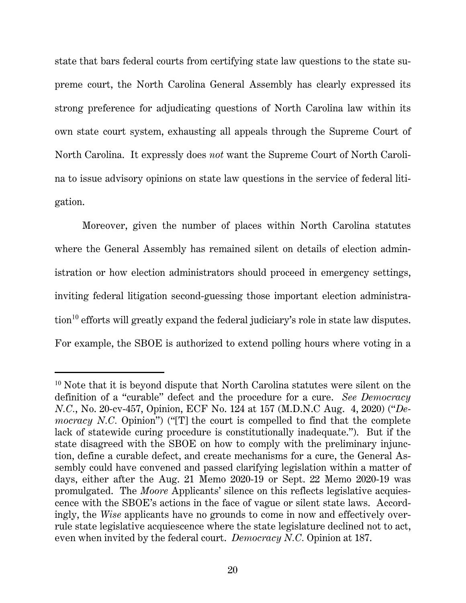state that bars federal courts from certifying state law questions to the state supreme court, the North Carolina General Assembly has clearly expressed its strong preference for adjudicating questions of North Carolina law within its own state court system, exhausting all appeals through the Supreme Court of North Carolina. It expressly does *not* want the Supreme Court of North Carolina to issue advisory opinions on state law questions in the service of federal litigation.

Moreover, given the number of places within North Carolina statutes where the General Assembly has remained silent on details of election administration or how election administrators should proceed in emergency settings, inviting federal litigation second-guessing those important election administration<sup>10</sup> efforts will greatly expand the federal judiciary's role in state law disputes. For example, the SBOE is authorized to extend polling hours where voting in a

<sup>10</sup> Note that it is beyond dispute that North Carolina statutes were silent on the definition of a "curable" defect and the procedure for a cure. *See Democracy N.C.*, No. 20-cv-457, Opinion, ECF No. 124 at 157 (M.D.N.C Aug. 4, 2020) ("*Democracy N.C.* Opinion") ("[T] the court is compelled to find that the complete lack of statewide curing procedure is constitutionally inadequate."). But if the state disagreed with the SBOE on how to comply with the preliminary injunction, define a curable defect, and create mechanisms for a cure, the General Assembly could have convened and passed clarifying legislation within a matter of days, either after the Aug. 21 Memo 2020-19 or Sept. 22 Memo 2020-19 was promulgated. The *Moore* Applicants' silence on this reflects legislative acquiescence with the SBOE's actions in the face of vague or silent state laws. Accordingly, the *Wise* applicants have no grounds to come in now and effectively overrule state legislative acquiescence where the state legislature declined not to act, even when invited by the federal court. *Democracy N.C.* Opinion at 187.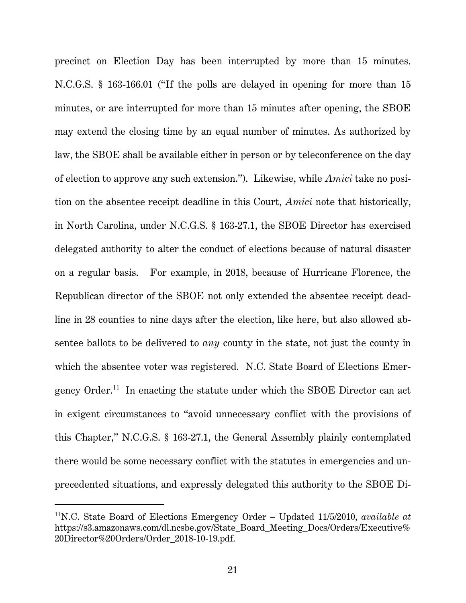precinct on Election Day has been interrupted by more than 15 minutes. N.C.G.S. § 163-166.01 ("If the polls are delayed in opening for more than 15 minutes, or are interrupted for more than 15 minutes after opening, the SBOE may extend the closing time by an equal number of minutes. As authorized by law, the SBOE shall be available either in person or by teleconference on the day of election to approve any such extension."). Likewise, while *Amici* take no position on the absentee receipt deadline in this Court, *Amici* note that historically, in North Carolina, under N.C.G.S. § 163-27.1, the SBOE Director has exercised delegated authority to alter the conduct of elections because of natural disaster on a regular basis. For example, in 2018, because of Hurricane Florence, the Republican director of the SBOE not only extended the absentee receipt deadline in 28 counties to nine days after the election, like here, but also allowed absentee ballots to be delivered to *any* county in the state, not just the county in which the absentee voter was registered. N.C. State Board of Elections Emergency Order.<sup>11</sup> In enacting the statute under which the SBOE Director can act in exigent circumstances to "avoid unnecessary conflict with the provisions of this Chapter," N.C.G.S. § 163-27.1, the General Assembly plainly contemplated there would be some necessary conflict with the statutes in emergencies and unprecedented situations, and expressly delegated this authority to the SBOE Di-

<sup>11</sup>N.C. State Board of Elections Emergency Order – Updated 11/5/2010, *available at* https://s3.amazonaws.com/dl.ncsbe.gov/State\_Board\_Meeting\_Docs/Orders/Executive% 20Director%20Orders/Order\_2018-10-19.pdf.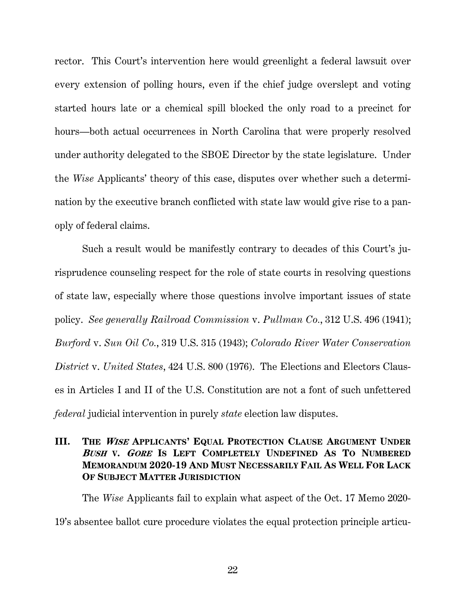rector. This Court's intervention here would greenlight a federal lawsuit over every extension of polling hours, even if the chief judge overslept and voting started hours late or a chemical spill blocked the only road to a precinct for hours—both actual occurrences in North Carolina that were properly resolved under authority delegated to the SBOE Director by the state legislature. Under the *Wise* Applicants' theory of this case, disputes over whether such a determination by the executive branch conflicted with state law would give rise to a panoply of federal claims.

Such a result would be manifestly contrary to decades of this Court's jurisprudence counseling respect for the role of state courts in resolving questions of state law, especially where those questions involve important issues of state policy. *See generally Railroad Commission* v. *Pullman Co.*, 312 U.S. 496 (1941); *Burford* v. *Sun Oil Co.*, 319 U.S. 315 (1943); *Colorado River Water Conservation District* v. *United States*, 424 U.S. 800 (1976). The Elections and Electors Clauses in Articles I and II of the U.S. Constitution are not a font of such unfettered *federal* judicial intervention in purely *state* election law disputes.

# **III. THE <sup>W</sup>ISE APPLICANTS' EQUAL PROTECTION CLAUSE ARGUMENT UNDER <sup>B</sup>USH V. GORE IS LEFT COMPLETELY UNDEFINED AS TO NUMBERED MEMORANDUM 2020-19 AND MUST NECESSARILY FAIL AS WELL FOR LACK OF SUBJECT MATTER JURISDICTION**

The *Wise* Applicants fail to explain what aspect of the Oct. 17 Memo 2020- 19's absentee ballot cure procedure violates the equal protection principle articu-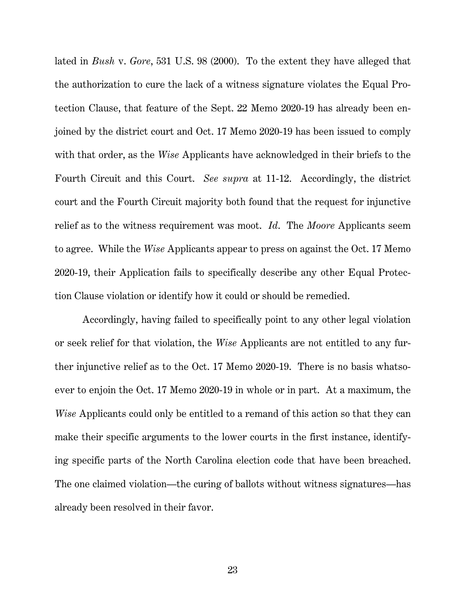lated in *Bush* v. *Gore*, 531 U.S. 98 (2000). To the extent they have alleged that the authorization to cure the lack of a witness signature violates the Equal Protection Clause, that feature of the Sept. 22 Memo 2020-19 has already been enjoined by the district court and Oct. 17 Memo 2020-19 has been issued to comply with that order, as the *Wise* Applicants have acknowledged in their briefs to the Fourth Circuit and this Court. *See supra* at 11-12. Accordingly, the district court and the Fourth Circuit majority both found that the request for injunctive relief as to the witness requirement was moot. *Id*. The *Moore* Applicants seem to agree. While the *Wise* Applicants appear to press on against the Oct. 17 Memo 2020-19, their Application fails to specifically describe any other Equal Protection Clause violation or identify how it could or should be remedied.

Accordingly, having failed to specifically point to any other legal violation or seek relief for that violation, the *Wise* Applicants are not entitled to any further injunctive relief as to the Oct. 17 Memo 2020-19. There is no basis whatsoever to enjoin the Oct. 17 Memo 2020-19 in whole or in part. At a maximum, the *Wise* Applicants could only be entitled to a remand of this action so that they can make their specific arguments to the lower courts in the first instance, identifying specific parts of the North Carolina election code that have been breached. The one claimed violation—the curing of ballots without witness signatures—has already been resolved in their favor.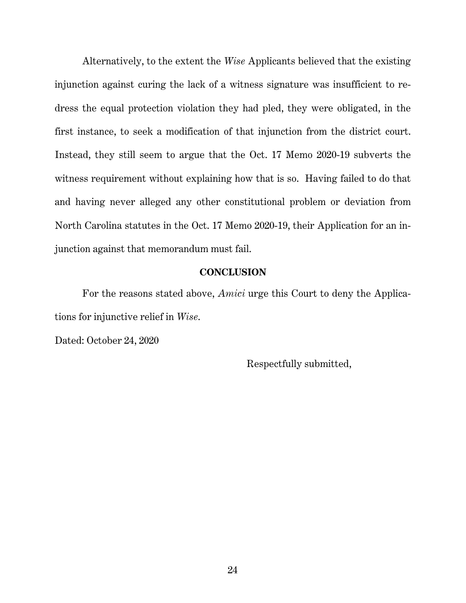Alternatively, to the extent the *Wise* Applicants believed that the existing injunction against curing the lack of a witness signature was insufficient to redress the equal protection violation they had pled, they were obligated, in the first instance, to seek a modification of that injunction from the district court. Instead, they still seem to argue that the Oct. 17 Memo 2020-19 subverts the witness requirement without explaining how that is so. Having failed to do that and having never alleged any other constitutional problem or deviation from North Carolina statutes in the Oct. 17 Memo 2020-19, their Application for an injunction against that memorandum must fail.

#### **CONCLUSION**

For the reasons stated above, *Amici* urge this Court to deny the Applications for injunctive relief in *Wise*.

Dated: October 24, 2020

Respectfully submitted,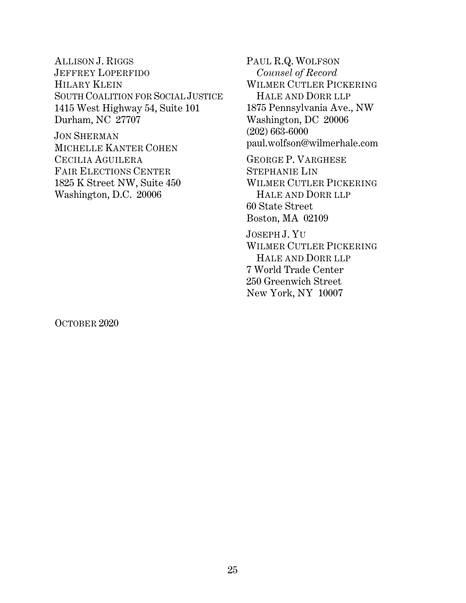ALLISON J. RIGGS JEFFREY LOPERFIDO HILARY KLEIN SOUTH COALITION FOR SOCIAL JUSTICE 1415 West Highway 54, Suite 101 Durham, NC 27707

JON SHERMAN MICHELLE KANTER COHEN CECILIA AGUILERA FAIR ELECTIONS CENTER 1825 K Street NW, Suite 450 Washington, D.C. 20006

PAUL R.Q. WOLFSON *Counsel of Record* WILMER CUTLER PICKERING HALE AND DORR LLP 1875 Pennsylvania Ave., NW Washington, DC 20006 (202) 663-6000 paul.wolfson@wilmerhale.com GEORGE P. VARGHESE STEPHANIE LIN WILMER CUTLER PICKERING HALE AND DORR LLP 60 State Street Boston, MA 02109 JOSEPH J. YU WILMER CUTLER PICKERING HALE AND DORR LLP

7 World Trade Center 250 Greenwich Street New York, NY 10007

OCTOBER 2020